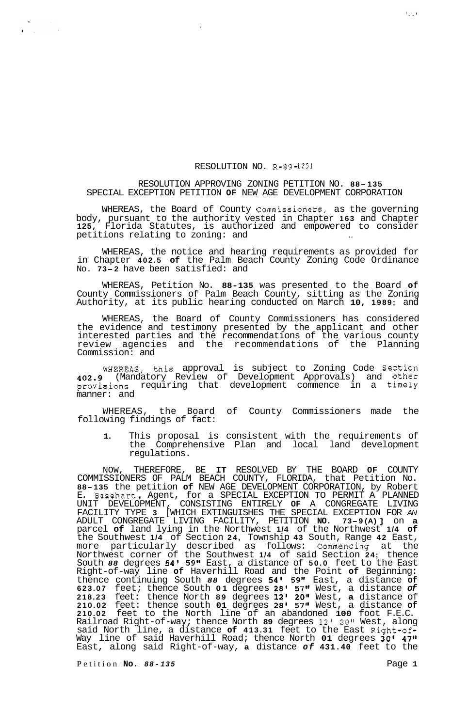## RESOLUTION NO. **R-89-1251**

## RESOLUTION APPROVING ZONING PETITION NO. **88- <sup>135</sup>** SPECIAL EXCEPTION PETITION **OF** NEW AGE DEVELOPMENT CORPORATION

*I* 

WHEREAS, the Board of County Commissioners, as the governing body, pursuant to the authority vested in Chapter **163** and Chapter **125,** Florida Statutes, is authorized and empowered to consider petitions relating to zoning: and

WHEREAS, the notice and hearing requirements as provided for in Chapter **402.5 of** the Palm Beach County Zoning Code Ordinance No. **73-2** have been satisfied: and

WHEREAS, Petition No. **88-135** was presented to the Board **of**  County Commissioners of Palm Beach County, sitting as the Zoning Authority, at its public hearing conducted on March **10, 1989;** and

WHEREAS, the Board of County Commissioners has considered the evidence and testimony presented by the applicant and other interested parties and the recommendations of the various county review agencies and the recommendations of the Planning Commission: and

WHEREAS, this approval is subject to Zoning Code Section **402.9** (Mandatory Review of Development Approvals) and other provisions requiring that development commence in a timely manner: and

WHEREAS, the Board of County Commissioners made the following findings of fact:

**1.** This proposal is consistent with the requirements of the Comprehensive Plan and local land development regulations.

NOW, THEREFORE, BE **IT** RESOLVED BY THE BOARD **OF** COUNTY COMMISSIONERS OF PALM BEACH COUNTY, FLORIDA, that Petition No. **88-135** the petition **of** NEW AGE DEVELOPMENT CORPORATION, by Robert 88-135 the petition of NEW AGE DEVELOPMENT CORPORATION, by Robert<br>E. Basehart, Agent, for a SPECIAL EXCEPTION TO PERMIT A PLANNED UNIT DEVELOPMENT, CONSISTING ENTIRELY **OF** A CONGREGATE LIVING FACILITY TYPE **3** [WHICH EXTINGUISHES THE SPECIAL EXCEPTION FOR *AN*  ADULT CONGREGATE LIVING FACILITY, PETITION **NO. 73-9 (A)** J on **<sup>a</sup>** parcel **of** land lying in the Northwest **1/4** of the Northwest **1/4 of**  the Southwest **1/4** of Section **24,** Township **43** South, Range **42** East, more particularly described as follows: Commencing at the Northwest corner of the Southwest **1/4** of said Section **24;** thence South *88* degrees **54' 59"** East, a distance of **50.0** feet to the East Right-of-way line **of** Haverhill Road and the Point **of** Beginning: thence continuing South *88* degrees **54' 59"** East, a distance **of 623.07** feet; thence South **01** degrees **28' 57''** West, a distance *of*  **218.23** feet: thence North **89** degrees **12l 20"** West, **a** distance of **210.02** feet: thence south **01** degrees **28'** *57"* West, a distance **of 210.02** feet to the North line of an abandoned **100** foot F.E.C. Railroad Right-of-way; thence North **89** degrees **12' 20"** West, along said North line, a distance **of 413.31** feet to the East Right-of-Way line of said Haverhill Road; thence North **01** degrees **30' 47"**  East, along said Right-of-way, **a** distance *of* **431.40** feet to the

Petition **No.** *88-135* Page **1**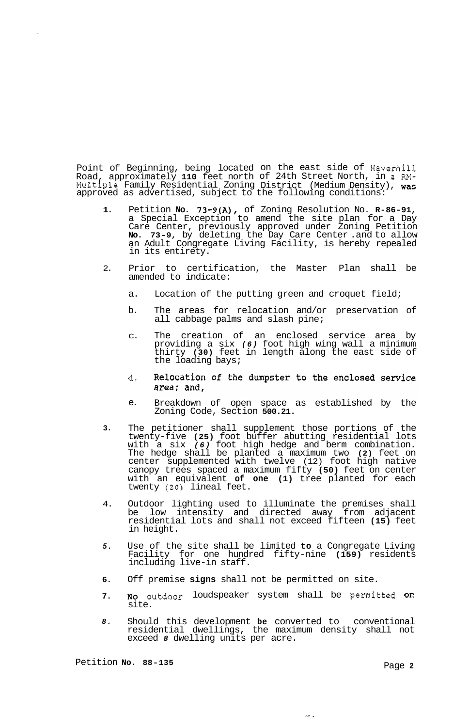Point of Beginning, being located on the east side of Haverhill Road, approximately **110** feet north of 24th Street North, in a **M-**Family Residential Zoning District (Medium Density), was as advertised, subject to the following conditions: Multiple approved

- **1.**  Petition **No. 73-9(A),** of Zoning Resolution No. **R-86-91,**  a Special Exception to amend the site plan for a Day Care Center, previously approved under Zoning Petition **No. 73-9,** by deleting the Day Care Center .and to allow an Adult Congregate Living Facility, is hereby repealed in its entirety.
- 2. Prior to certification, the Master Plan shall be amended to indicate:
	- a. Location of the putting green and croquet field;
	- b. The areas for relocation and/or preservation of all cabbage palms and slash pine;
	- C. The creation of an enclosed service area by providing a six *(6)* foot high wing wall a minimum thirty **(30)** feet in length along the east side of the loading bays;
	- Relocation of the dumpster to the enclosed service d. area; and,
	- e. Breakdown of open space as established by the Zoning Code, Section **500.21.**
- **3.**  The petitioner shall supplement those portions of the twenty-five **(25)** foot buffer abutting residential lots with a six *(6)* foot high hedge and berm combination. The hedge shall be planted a maximum two **(2)** feet on center supplemented with twelve (12) foot high native canopy trees spaced a maximum fifty **(50)** feet on center with an equivalent **of one (1)** tree planted for each twenty **(20)** lineal feet.
- 4. Outdoor lighting used to illuminate the premises shall be low intensity and directed away from adjacent residential lots and shall not exceed fifteen **(15)** feet in height.
- *5.*  Use of the site shall be limited **to** a Congregate Living Facility for one hundred fifty-nine **(159)** residents including live-in staff.
- **6.**  Off premise **signs** shall not be permitted on site.
- **7. NO** outdoor loudspeaker system shall be permitted on site.
- *8.*  Should this development **be** converted to conventional residential dwellings, the maximum density shall not exceed *8* dwelling units per acre.

ing a

Petition **No. 88-135** Page **2**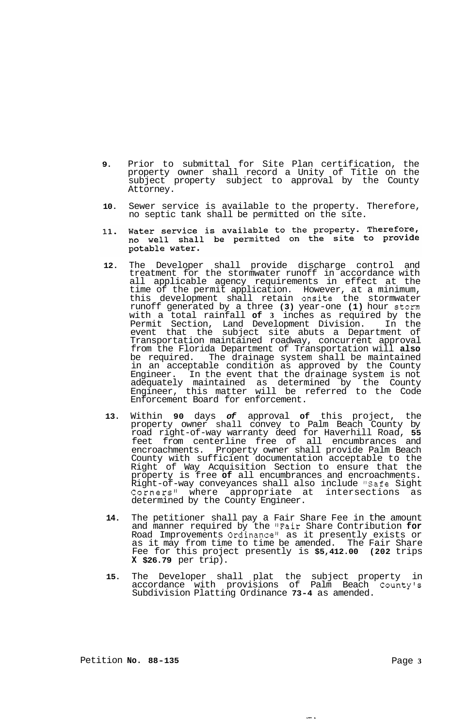- **9.** Prior to submittal for Site Plan certification, the property owner shall record a Unity of Title on the subject property subject to approval by the County Attorney.
- **10.** Sewer service is available to the property. Therefore, no septic tank shall be permitted on the site.
- Water service is available to the property. Therefore,<br>no well shall be permitted on the site to provide 11. potable water.
- **12.** The Developer shall provide discharge control and treatment for the stormwater runoff in accordance with all applicable agency requirements in effect at the time of the permit application. However, at a minimum, this development shall retain onsite the stormwater runoff generated by a three **(3)** year-one **(1)** hour storm with a total rainfall **of 3** inches as required by the Permit Section, Land Development Division. In the event that the subject site abuts a Department of Transportation maintained roadway, concurrent approval from the Florida Department of Transportation will **also**  be required. The drainage system shall be maintained in an acceptable condition as approved by the County Engineer. In the event that the drainage system is not adequately maintained as determined by the County Engineer, this matter will be referred to the Code Enforcement Board for enforcement.
- **13.** Within **90** days *of* approval **of** this project, the property owner shall convey to Palm Beach County by road right-of-way warranty deed for Haverhill Road, **55**  feet from centerline free of all encumbrances and encroachments. Property owner shall provide Palm Beach County with sufficient documentation acceptable to the Right of Way Acquisition Section to ensure that the property is free **of** all encumbrances and encroachments. Right-of-way conveyances shall also include "Safe Sight Corners<sup>11</sup> where appropriate at intersections as determined by the County Engineer.
- **14.** The petitioner shall pay a Fair Share Fee in the amount and manner required by the "Fair Share Contribution **for**  Road Improvements Ordinance" as it presently exists or as it may from time to time be amended. The Fair Share Fee for this project presently is **\$5,412.00 (202** trips **X \$26.79** per trip).
- **15.** The Developer shall plat the subject property in accordance with provisions of Palm Beach County's Subdivision Platting Ordinance **73-4** as amended.